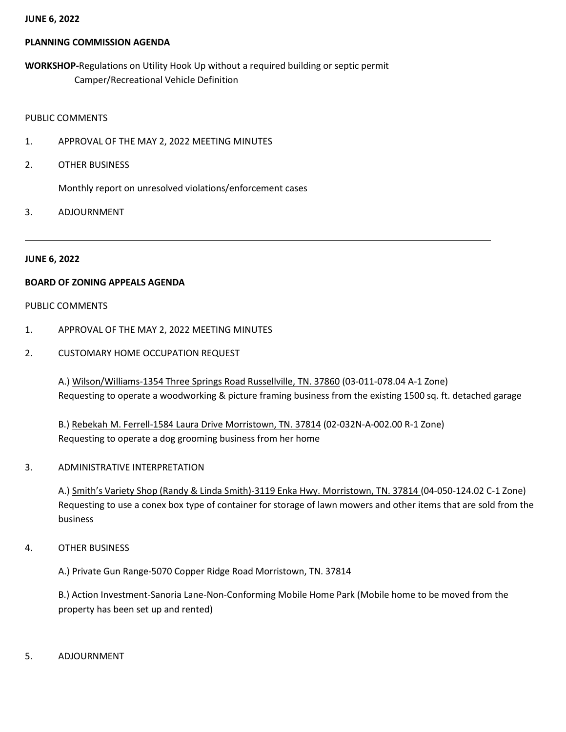#### **JUNE 6, 2022**

### **PLANNING COMMISSION AGENDA**

**WORKSHOP-**Regulations on Utility Hook Up without a required building or septic permit Camper/Recreational Vehicle Definition

## PUBLIC COMMENTS

- 1. APPROVAL OF THE MAY 2, 2022 MEETING MINUTES
- 2. OTHER BUSINESS

Monthly report on unresolved violations/enforcement cases

3. ADJOURNMENT

#### **JUNE 6, 2022**

### **BOARD OF ZONING APPEALS AGENDA**

#### PUBLIC COMMENTS

- 1. APPROVAL OF THE MAY 2, 2022 MEETING MINUTES
- 2. CUSTOMARY HOME OCCUPATION REQUEST

A.) Wilson/Williams-1354 Three Springs Road Russellville, TN. 37860 (03-011-078.04 A-1 Zone) Requesting to operate a woodworking & picture framing business from the existing 1500 sq. ft. detached garage

B.) Rebekah M. Ferrell-1584 Laura Drive Morristown, TN. 37814 (02-032N-A-002.00 R-1 Zone) Requesting to operate a dog grooming business from her home

3. ADMINISTRATIVE INTERPRETATION

A.) Smith's Variety Shop (Randy & Linda Smith)-3119 Enka Hwy. Morristown, TN. 37814 (04-050-124.02 C-1 Zone) Requesting to use a conex box type of container for storage of lawn mowers and other items that are sold from the business

4. OTHER BUSINESS

A.) Private Gun Range-5070 Copper Ridge Road Morristown, TN. 37814

B.) Action Investment-Sanoria Lane-Non-Conforming Mobile Home Park (Mobile home to be moved from the property has been set up and rented)

5. ADJOURNMENT